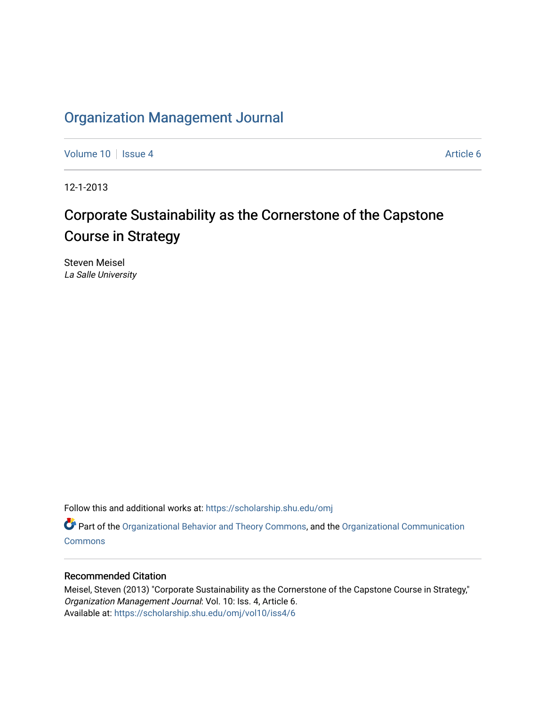# [Organization Management Journal](https://scholarship.shu.edu/omj)

[Volume 10](https://scholarship.shu.edu/omj/vol10) | [Issue 4](https://scholarship.shu.edu/omj/vol10/iss4) Article 6

12-1-2013

# Corporate Sustainability as the Cornerstone of the Capstone Course in Strategy

Steven Meisel La Salle University

Follow this and additional works at: [https://scholarship.shu.edu/omj](https://scholarship.shu.edu/omj?utm_source=scholarship.shu.edu%2Fomj%2Fvol10%2Fiss4%2F6&utm_medium=PDF&utm_campaign=PDFCoverPages) 

Part of the [Organizational Behavior and Theory Commons,](http://network.bepress.com/hgg/discipline/639?utm_source=scholarship.shu.edu%2Fomj%2Fvol10%2Fiss4%2F6&utm_medium=PDF&utm_campaign=PDFCoverPages) and the [Organizational Communication](http://network.bepress.com/hgg/discipline/335?utm_source=scholarship.shu.edu%2Fomj%2Fvol10%2Fiss4%2F6&utm_medium=PDF&utm_campaign=PDFCoverPages) **[Commons](http://network.bepress.com/hgg/discipline/335?utm_source=scholarship.shu.edu%2Fomj%2Fvol10%2Fiss4%2F6&utm_medium=PDF&utm_campaign=PDFCoverPages)** 

## Recommended Citation

Meisel, Steven (2013) "Corporate Sustainability as the Cornerstone of the Capstone Course in Strategy," Organization Management Journal: Vol. 10: Iss. 4, Article 6. Available at: [https://scholarship.shu.edu/omj/vol10/iss4/6](https://scholarship.shu.edu/omj/vol10/iss4/6?utm_source=scholarship.shu.edu%2Fomj%2Fvol10%2Fiss4%2F6&utm_medium=PDF&utm_campaign=PDFCoverPages)